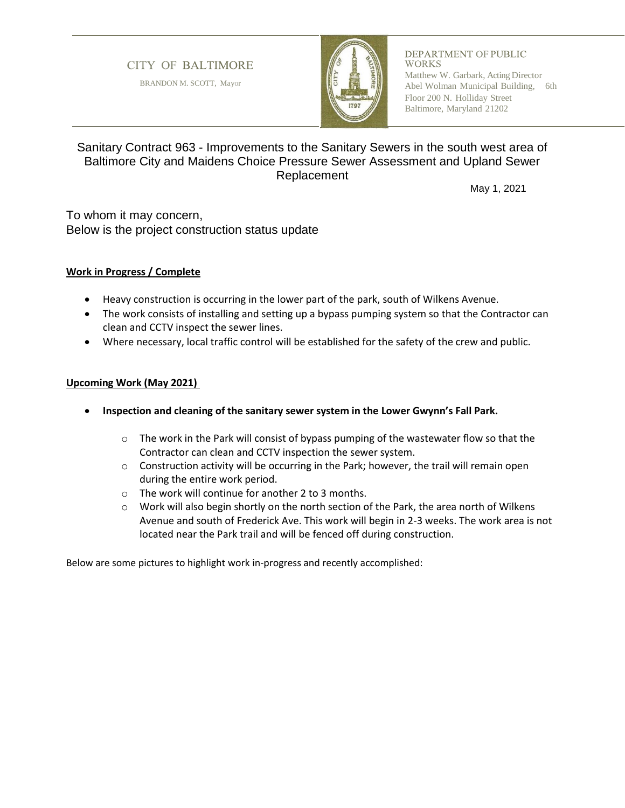# **CITY OF BALTIMORE**

BRANDON M. SCOTT, Mayor



#### **DEPARTMENT OF PUBLIC** WORKS

Matthew W. Garbark, Acting Director Abel Wolman Municipal Building, 6th Floor 200 N. Holliday Street Baltimore, Maryland 21202

# Sanitary Contract 963 - Improvements to the Sanitary Sewers in the south west area of Baltimore City and Maidens Choice Pressure Sewer Assessment and Upland Sewer Replacement

May 1, 2021

To whom it may concern, Below is the project construction status update

### **Work in Progress / Complete**

- Heavy construction is occurring in the lower part of the park, south of Wilkens Avenue.
- The work consists of installing and setting up a bypass pumping system so that the Contractor can clean and CCTV inspect the sewer lines.
- Where necessary, local traffic control will be established for the safety of the crew and public.

#### **Upcoming Work (May 2021)**

- **Inspection and cleaning of the sanitary sewer system in the Lower Gwynn's Fall Park.** 
	- $\circ$  The work in the Park will consist of bypass pumping of the wastewater flow so that the Contractor can clean and CCTV inspection the sewer system.
	- $\circ$  Construction activity will be occurring in the Park; however, the trail will remain open during the entire work period.
	- o The work will continue for another 2 to 3 months.
	- $\circ$  Work will also begin shortly on the north section of the Park, the area north of Wilkens Avenue and south of Frederick Ave. This work will begin in 2-3 weeks. The work area is not located near the Park trail and will be fenced off during construction.

Below are some pictures to highlight work in-progress and recently accomplished: